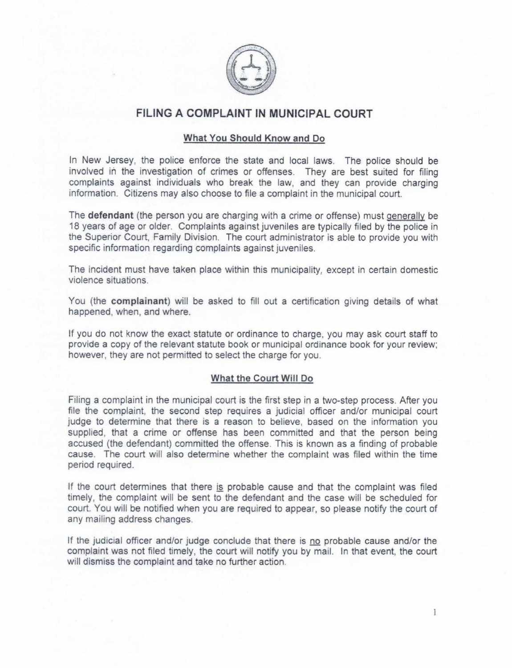

### FILING A COMPLAINT IN MUNICIPAL COURT

#### What You Should Know and Do

In New Jersey. the police enforce the state and local laws. The police should be involved in the investigation of crimes or offenses. They are best suited for filing complaints against individuals who break the law, and they can provide charging information. Citizens may also choose to file a complaint in the municipal court.

The defendant (the person you are charging with a crime or offense) must generally be 18 years of age or older, Complaints against juveniles are typically filed by the police in the Superior Court, Family Division. The court administrator is able to provide you with specific information regarding complaints against juveniles.

The incident must have taken place within this municipality; except in certain domestic violence situations.

You (the complainant) will be asked to fill out a certification giving details of what happened, when, and where.

If you do not know the exact statute or ordinance to charge, you may ask court staff to provide a copy of the relevant statute book or municipal ordinance book for your review: however, they are not permitted to select the charge for you.

#### What the Court Will Do

Filing a complaint in the municipal court is the first step in a two-step process. After you file the complaint, the second step requires a judicial officer and/or municipal court judge to determine that there is a reason to believe, based on the information you supplied, that a crime or offense has been committed and that the person being accused (the defendant) committed the offense. This is known as a finding of probable cause. The court will also determine whether the complaint was filed within the time period required.

If the court determines that there is probable cause and that the complaint was filed timely, the complaint will be sent to the defendant and the case will be scheduled for court. You will be notified when you are required to appear, so please notify the court of any mailing address changes.

If the judicial officer and/or judge conclude that there is no probable cause and/or the complaint was not filed timely, the court will notify you by mail. In that event, the court will dismiss the complaint and take no further action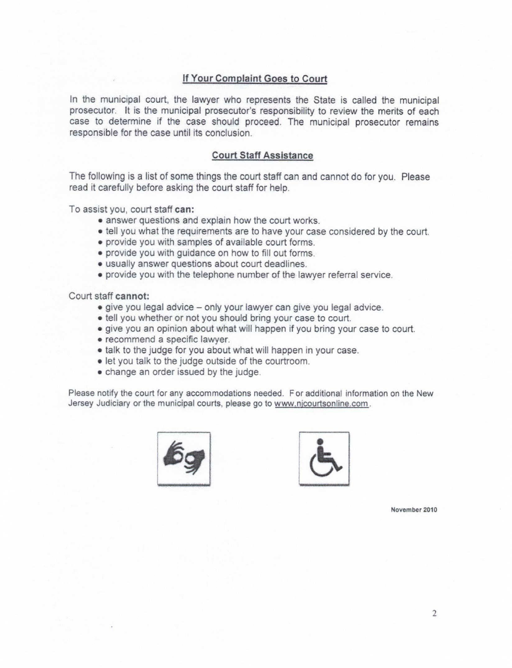### If Your Complaint Goes to Court

In the municipal court, the lawyer who represents the State is called the municipal prosecutor. It is the municipal prosecutor's responsibility to review the merits of each case to determine if the case should proceed. The municipal prosecutor remains responsible for the case until its conclusion.

#### Court Staff Assistance

The following is a list of some things the court staff can and cannot do for you. Please read it carefully before asking the court staff for help.

To assist you, court staff can:

- answer questions and explain how the court works.
- tell you what the requirements are to have your case considered by the court.
- provide you with samples of available court forms.
- provide you with guidance on how to fill out forms.
- usually answer questions about court deadlines.
- provide you with the telephone number of the lawyer referral service.

#### Court staff cannot:

- give you legal advice only your lawyer can give you legal advice.
- tell you whether or not you should bring your case to court.
- give you an opinion about what will happen if you bring your case to court.
- recommend a specific lawyer.
- talk to the judge for you about what will happen in your case.
- let you talk to the judge outside of the courtroom.
- change an order issued by the judge.

Please notify the court for any accommodations needed, For additional information on the New Jersey Judiciary or the municipal courts, please go to www.nicourtsonline.com





November 2010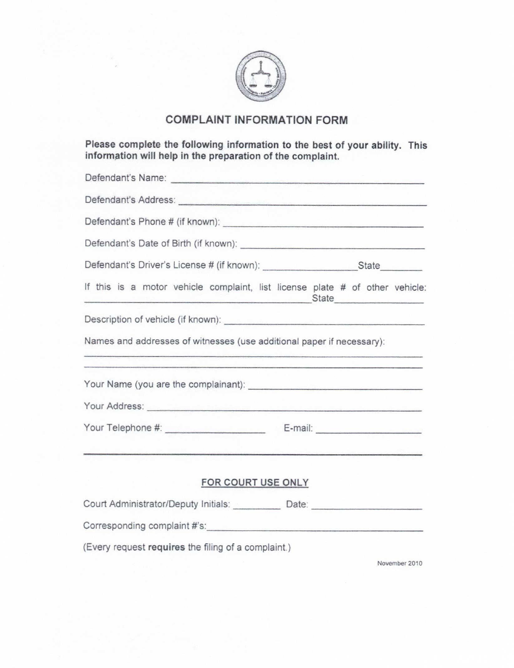

# COMPLAINT INFORMATION FORM

Please complete the following information to the best of your ability. This information will help in the preparation of the complaint.

| If this is a motor vehicle complaint, list license plate # of other vehicle:     | <u>State</u>                                                                                                          |
|----------------------------------------------------------------------------------|-----------------------------------------------------------------------------------------------------------------------|
|                                                                                  |                                                                                                                       |
| Names and addresses of witnesses (use additional paper if necessary):            | <u>residence de la construcción de la construcción de la construcción de la construcción de la construcción de la</u> |
| <u> 1989 - Johann Amerikaansk ferske politiker (* 1958)</u>                      |                                                                                                                       |
|                                                                                  |                                                                                                                       |
|                                                                                  |                                                                                                                       |
| FOR COURT USE ONLY                                                               |                                                                                                                       |
| Court Administrator/Deputy Initials: ___________ Date: _________________________ |                                                                                                                       |
|                                                                                  |                                                                                                                       |
| (Every request requires the filing of a complaint.)                              |                                                                                                                       |

November 2010